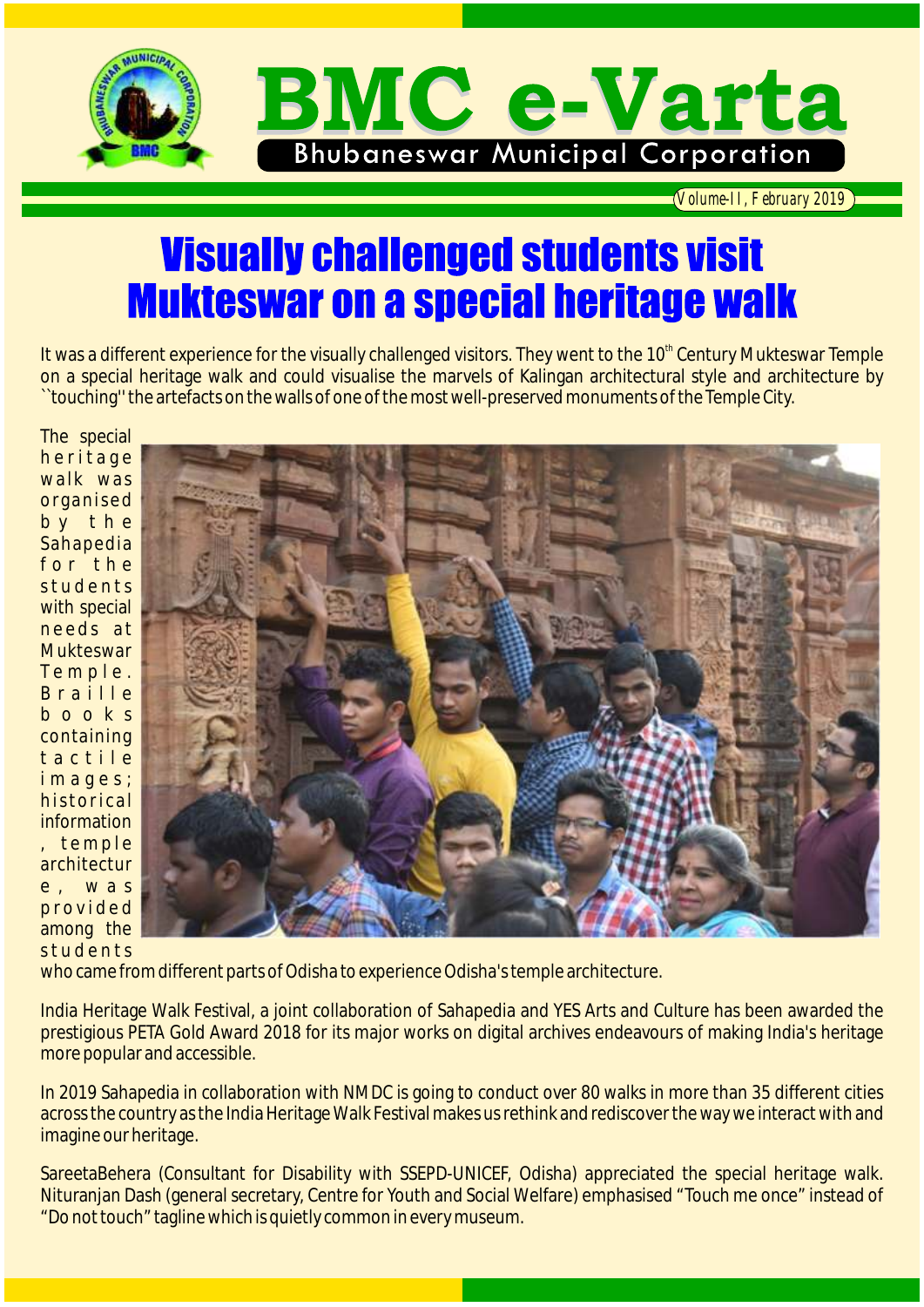

*Volume-II, February 2019*

## **Visually challenged students visit Mukteswar on a special heritage walk**

It was a different experience for the visually challenged visitors. They went to the 10<sup>th</sup> Century Mukteswar Temple on a special heritage walk and could visualise the marvels of Kalingan architectural style and architecture by ``touching'' the artefacts on the walls of one of the most well-preserved monuments of the Temple City.

The special heritage walk was organised b y t h e Sahapedia for the st u d e n t s with special needs at **Mukteswar** T e m p l e . B r a i l l e b o o k s containing t a c t i l e i m a g e s : historical information , temple architectur e , w a s p r o v i d e d among the students



who came from different parts of Odisha to experience Odisha's temple architecture.

India Heritage Walk Festival, a joint collaboration of Sahapedia and YES Arts and Culture has been awarded the prestigious PETA Gold Award 2018 for its major works on digital archives endeavours of making India's heritage more popular and accessible.

In 2019 Sahapedia in collaboration with NMDC is going to conduct over 80 walks in more than 35 different cities across the country as the India Heritage Walk Festival makes us rethink and rediscover the way we interact with and imagine our heritage.

SareetaBehera (Consultant for Disability with SSEPD-UNICEF, Odisha) appreciated the special heritage walk. Nituranjan Dash (general secretary, Centre for Youth and Social Welfare) emphasised "Touch me once" instead of "Do not touch" tagline which is quietly common in every museum.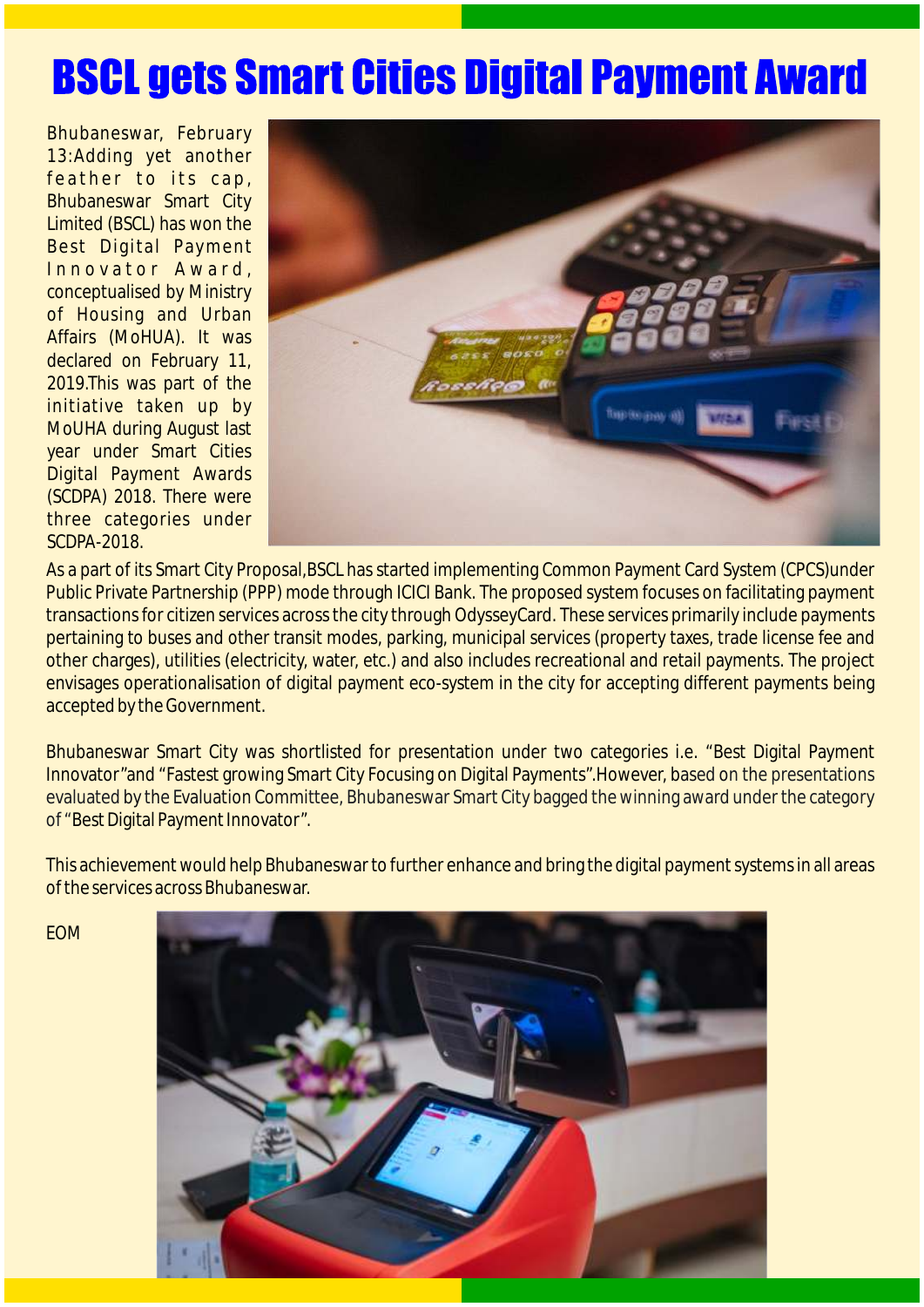## **BSCL gets Smart Cities Digital Payment Award**

Bhubaneswar, February 13:Adding yet another feather to its cap, Bhubaneswar Smart City Limited (BSCL) has won the Best Digital Payment Innovator Award, conceptualised by Ministry of Housing and Urban Affairs (MoHUA). It was declared on February 11, 2019.This was part of the initiative taken up by MoUHA during August last year under Smart Cities Digital Payment Awards (SCDPA) 2018. There were three categories under SCDPA-2018.



As a part of its Smart City Proposal, BSCL has started implementing Common Payment Card System (CPCS)under Public Private Partnership (PPP) mode through ICICI Bank. The proposed system focuses on facilitating payment transactions for citizen services across the city through OdysseyCard. These services primarily include payments pertaining to buses and other transit modes, parking, municipal services (property taxes, trade license fee and other charges), utilities (electricity, water, etc.) and also includes recreational and retail payments. The project envisages operationalisation of digital payment eco-system in the city for accepting different payments being accepted by the Government.

Bhubaneswar Smart City was shortlisted for presentation under two categories i.e. "Best Digital Payment Innovator″and "Fastest growing Smart City Focusing on Digital Payments″.However, based on the presentations of "Best Digital Payment Innovator*"*. evaluated by the Evaluation Committee, Bhubaneswar Smart City bagged the winning award under the category

This achievement would help Bhubaneswar to further enhance and bring the digital payment systems in all areas of the services across Bhubaneswar.

EOM

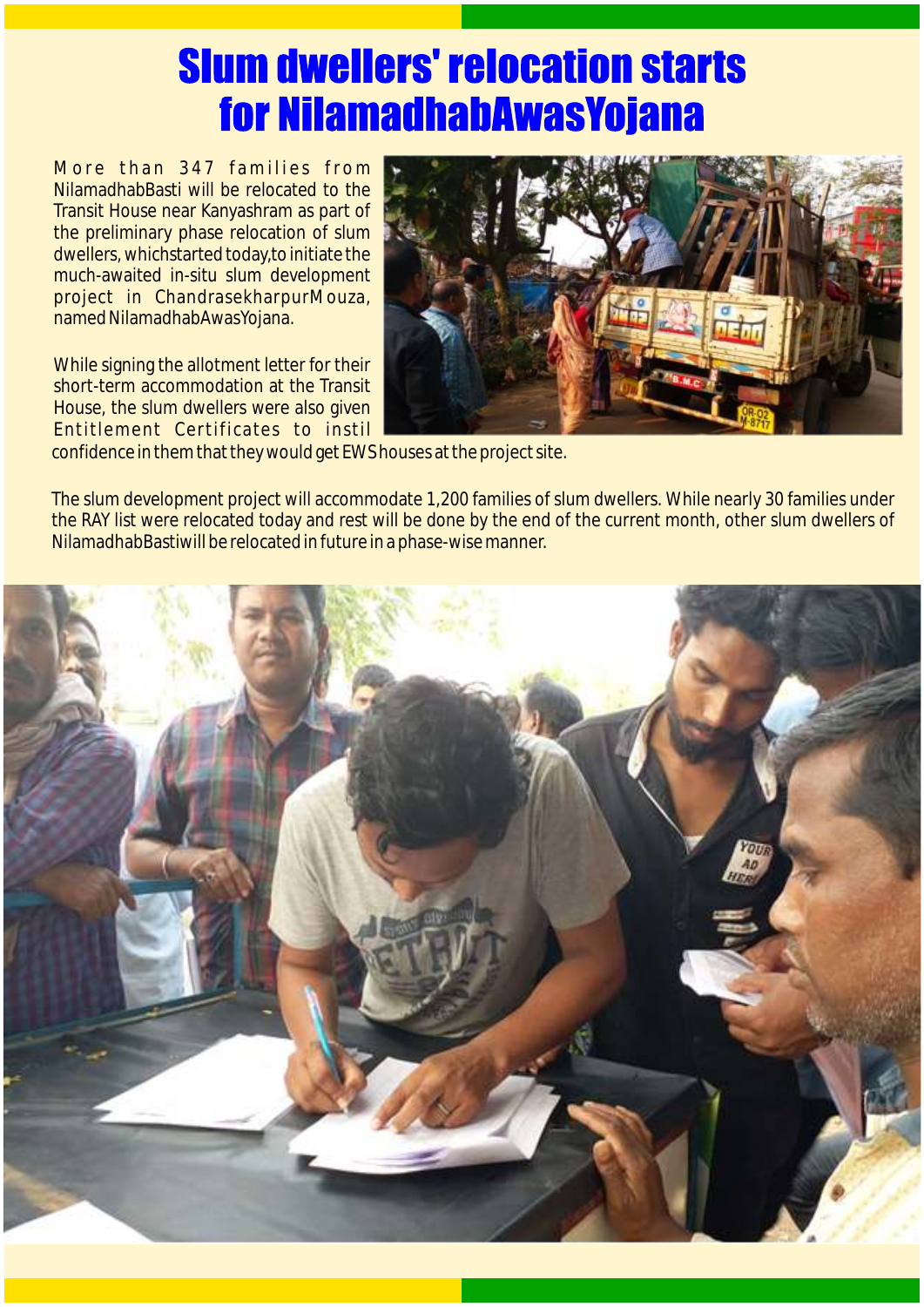## **Slum dwellers' relocation starts** for NilamadhabAwasYojana

More than 347 families from NilamadhabBasti will be relocated to the Transit House near Kanyashram as part of the preliminary phase relocation of slum dwellers, whichstarted today,to initiate the much-awaited in-situ slum development project in ChandrasekharpurMouza, named NilamadhabAwasYojana.

While signing the allotment letter for their short-term accommodation at the Transit House, the slum dwellers were also given Entitlement Certificates to instil



confidence in them that they would get EWS houses at the project site.

The slum development project will accommodate 1,200 families of slum dwellers. While nearly 30 families under the RAY list were relocated today and rest will be done by the end of the current month, other slum dwellers of NilamadhabBastiwill be relocated in future in a phase-wise manner.